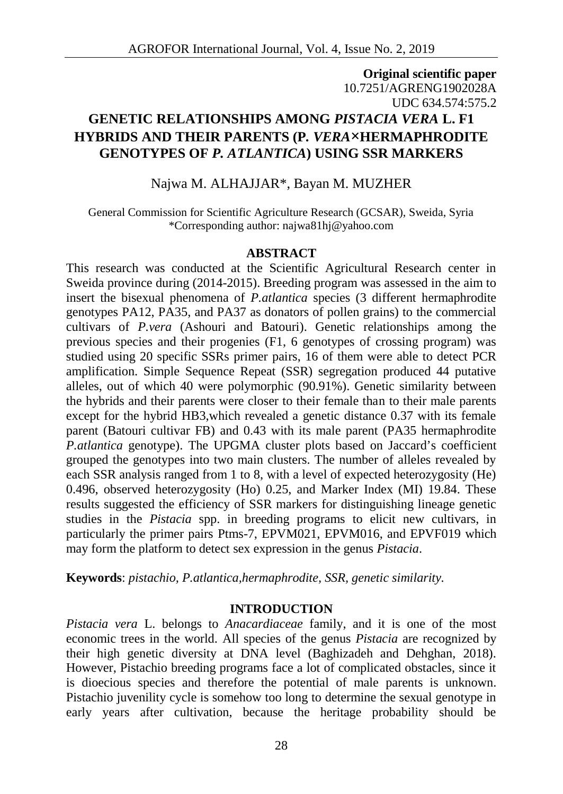# **Original scientific paper** 10.7251/AGRENG1902028A UDC 634.574:575.2 **GENETIC RELATIONSHIPS AMONG** *PISTACIA VERA* **L. F1 HYBRIDS AND THEIR PARENTS (P***. VERA***×HERMAPHRODITE GENOTYPES OF** *P. ATLANTICA***) USING SSR MARKERS**

## Najwa M. ALHAJJAR\*, Bayan M. MUZHER

General Commission for Scientific Agriculture Research (GCSAR), Sweida, Syria \*Corresponding author: najwa81hj@yahoo.com

#### **ABSTRACT**

This research was conducted at the Scientific Agricultural Research center in Sweida province during (2014-2015). Breeding program was assessed in the aim to insert the bisexual phenomena of *P.atlantica* species (3 different hermaphrodite genotypes PA12, PA35, and PA37 as donators of pollen grains) to the commercial cultivars of *P.vera* (Ashouri and Batouri). Genetic relationships among the previous species and their progenies (F1, 6 genotypes of crossing program) was studied using 20 specific SSRs primer pairs, 16 of them were able to detect PCR amplification. Simple Sequence Repeat (SSR) segregation produced 44 putative alleles, out of which 40 were polymorphic (90.91%). Genetic similarity between the hybrids and their parents were closer to their female than to their male parents except for the hybrid HB3,which revealed a genetic distance 0.37 with its female parent (Batouri cultivar FB) and 0.43 with its male parent (PA35 hermaphrodite *P.atlantica* genotype). The UPGMA cluster plots based on Jaccard's coefficient grouped the genotypes into two main clusters. The number of alleles revealed by each SSR analysis ranged from 1 to 8, with a level of expected heterozygosity (He) 0.496, observed heterozygosity (Ho) 0.25, and Marker Index (MI) 19.84. These results suggested the efficiency of SSR markers for distinguishing lineage genetic studies in the *Pistacia* spp. in breeding programs to elicit new cultivars, in particularly the primer pairs Ptms-7, EPVM021, EPVM016, and EPVF019 which may form the platform to detect sex expression in the genus *Pistacia*.

**Keywords**: *pistachio, P.atlantica,hermaphrodite, SSR, genetic similarity.*

#### **INTRODUCTION**

*Pistacia vera* L. belongs to *Anacardiaceae* family, and it is one of the most economic trees in the world. All species of the genus *Pistacia* are recognized by their high genetic diversity at DNA level (Baghizadeh and Dehghan, 2018). However, Pistachio breeding programs face a lot of complicated obstacles, since it is dioecious species and therefore the potential of male parents is unknown. Pistachio juvenility cycle is somehow too long to determine the sexual genotype in early years after cultivation, because the heritage probability should be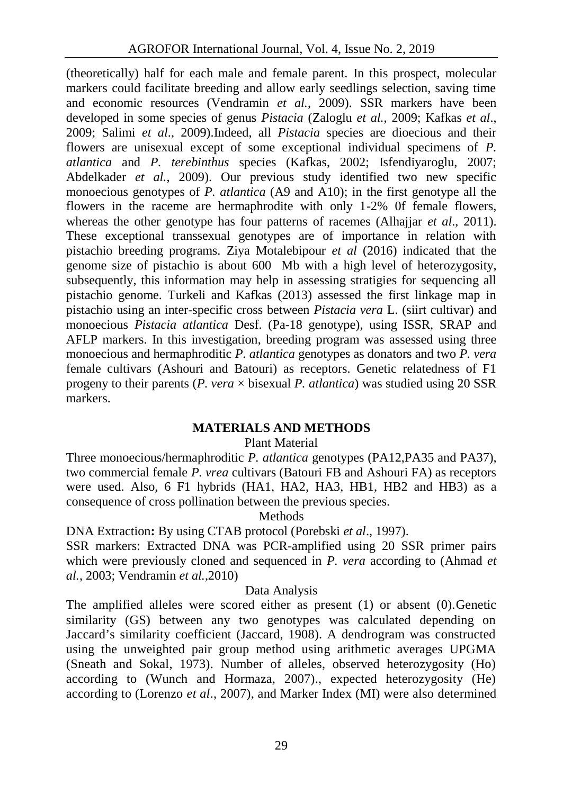(theoretically) half for each male and female parent. In this prospect, molecular markers could facilitate breeding and allow early seedlings selection, saving time and economic resources (Vendramin *et al.*, 2009). SSR markers have been developed in some species of genus *Pistacia* (Zaloglu *et al.*, 2009; Kafkas *et al*., 2009; Salimi *et al*., 2009).Indeed, all *Pistacia* species are dioecious and their flowers are unisexual except of some exceptional individual specimens of *P. atlantica* and *P. terebinthus* species (Kafkas, 2002; Isfendiyaroglu, 2007; Abdelkader *et al.*, 2009). Our previous study identified two new specific monoecious genotypes of *P. atlantica* (A9 and A10); in the first genotype all the flowers in the raceme are hermaphrodite with only 1-2% 0f female flowers, whereas the other genotype has four patterns of racemes (Alhajjar *et al.*, 2011). These exceptional transsexual genotypes are of importance in relation with pistachio breeding programs. Ziya Motalebipour *et al* (2016) indicated that the genome size of pistachio is about 600 Mb with a high level of heterozygosity, subsequently, this information may help in assessing stratigies for sequencing all pistachio genome. Turkeli and Kafkas (2013) assessed the first linkage map in pistachio using an inter-specific cross between *Pistacia vera* L. (siirt cultivar) and monoecious *Pistacia atlantica* Desf. (Pa-18 genotype), using ISSR, SRAP and AFLP markers. In this investigation, breeding program was assessed using three monoecious and hermaphroditic *P. atlantica* genotypes as donators and two *P. vera* female cultivars (Ashouri and Batouri) as receptors. Genetic relatedness of F1 progeny to their parents (*P. vera* × bisexual *P. atlantica*) was studied using 20 SSR markers.

### **MATERIALS AND METHODS**

#### Plant Material

Three monoecious/hermaphroditic *P. atlantica* genotypes (PA12,PA35 and PA37), two commercial female *P. vrea* cultivars (Batouri FB and Ashouri FA) as receptors were used. Also, 6 F1 hybrids (HA1, HA2, HA3, HB1, HB2 and HB3) as a consequence of cross pollination between the previous species.

#### Methods

DNA Extraction**:** By using CTAB protocol (Porebski *et al*., 1997).

SSR markers: Extracted DNA was PCR-amplified using 20 SSR primer pairs which were previously cloned and sequenced in *P. vera* according to (Ahmad *et al.*, 2003; Vendramin *et al.*,2010)

#### Data Analysis

The amplified alleles were scored either as present (1) or absent (0).Genetic similarity (GS) between any two genotypes was calculated depending on Jaccard's similarity coefficient (Jaccard, 1908). A dendrogram was constructed using the unweighted pair group method using arithmetic averages UPGMA (Sneath and Sokal, 1973). Number of alleles, observed heterozygosity (Ho) according to (Wunch and Hormaza, 2007)., expected heterozygosity (He) according to (Lorenzo *et al*., 2007), and Marker Index (MI) were also determined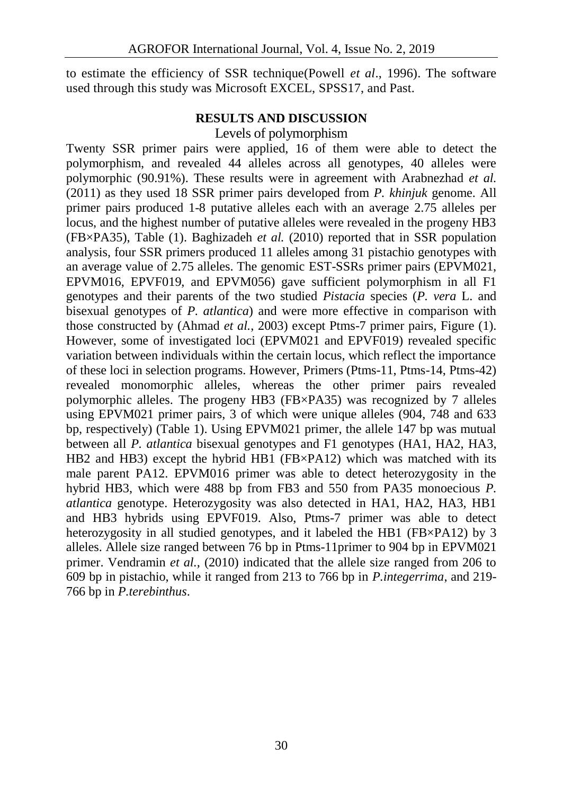to estimate the efficiency of SSR technique(Powell *et al*., 1996). The software used through this study was Microsoft EXCEL, SPSS17, and Past.

## **RESULTS AND DISCUSSION**

Levels of polymorphism

Twenty SSR primer pairs were applied, 16 of them were able to detect the polymorphism, and revealed 44 alleles across all genotypes, 40 alleles were polymorphic (90.91%). These results were in agreement with Arabnezhad *et al.* (2011) as they used 18 SSR primer pairs developed from *P. khinjuk* genome. All primer pairs produced 1-8 putative alleles each with an average 2.75 alleles per locus, and the highest number of putative alleles were revealed in the progeny HB3 (FB×PA35), Table (1). Baghizadeh *et al.* (2010) reported that in SSR population analysis, four SSR primers produced 11 alleles among 31 pistachio genotypes with an average value of 2.75 alleles. The genomic EST-SSRs primer pairs (EPVM021, EPVM016, EPVF019, and EPVM056) gave sufficient polymorphism in all F1 genotypes and their parents of the two studied *Pistacia* species (*P. vera* L. and bisexual genotypes of *P. atlantica*) and were more effective in comparison with those constructed by (Ahmad *et al.*, 2003) except Ptms-7 primer pairs, Figure (1). However, some of investigated loci (EPVM021 and EPVF019) revealed specific variation between individuals within the certain locus, which reflect the importance of these loci in selection programs. However, Primers (Ptms-11, Ptms-14, Ptms-42) revealed monomorphic alleles, whereas the other primer pairs revealed polymorphic alleles. The progeny HB3 (FB×PA35) was recognized by 7 alleles using EPVM021 primer pairs, 3 of which were unique alleles (904, 748 and 633 bp, respectively) (Table 1). Using EPVM021 primer, the allele 147 bp was mutual between all *P. atlantica* bisexual genotypes and F1 genotypes (HA1, HA2, HA3, HB2 and HB3) except the hybrid HB1 (FB×PA12) which was matched with its male parent PA12. EPVM016 primer was able to detect heterozygosity in the hybrid HB3, which were 488 bp from FB3 and 550 from PA35 monoecious *P. atlantica* genotype. Heterozygosity was also detected in HA1, HA2, HA3, HB1 and HB3 hybrids using EPVF019. Also, Ptms-7 primer was able to detect heterozygosity in all studied genotypes, and it labeled the HB1 (FB×PA12) by 3 alleles. Allele size ranged between 76 bp in Ptms-11primer to 904 bp in EPVM021 primer. Vendramin *et al.,* (2010) indicated that the allele size ranged from 206 to 609 bp in pistachio, while it ranged from 213 to 766 bp in *P.integerrima*, and 219- 766 bp in *P.terebinthus*.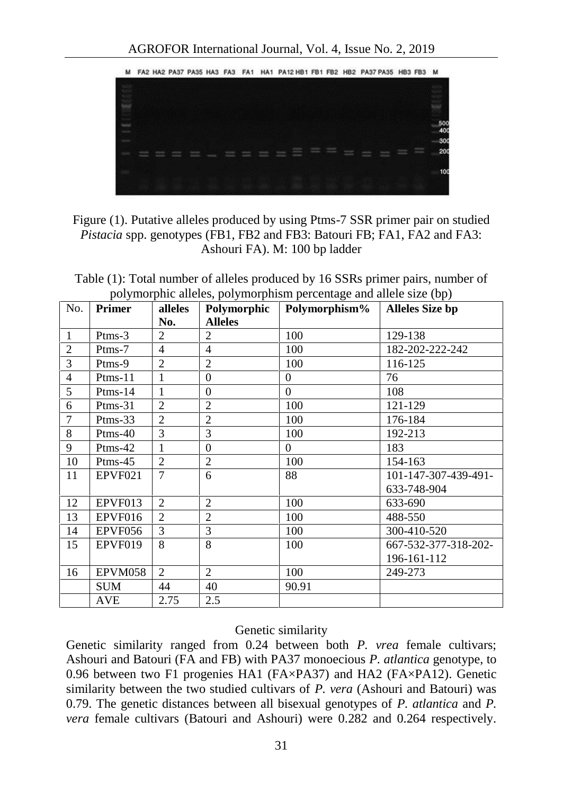

## Figure (1). Putative alleles produced by using Ptms-7 SSR primer pair on studied *Pistacia* spp. genotypes (FB1, FB2 and FB3: Batouri FB; FA1, FA2 and FA3: Ashouri FA). M: 100 bp ladder

Table (1): Total number of alleles produced by 16 SSRs primer pairs, number of polymorphic alleles, polymorphism percentage and allele size (bp)

| No.            | <b>Primer</b> | alleles        | Polymorphic    | $\circ$<br>Polymorphism% | <b>Alleles Size bp</b> |
|----------------|---------------|----------------|----------------|--------------------------|------------------------|
|                |               | No.            | <b>Alleles</b> |                          |                        |
| $\mathbf{1}$   | $P$ tms-3     | $\overline{2}$ | $\overline{2}$ | 100                      | 129-138                |
| $\overline{2}$ | Ptms-7        | $\overline{4}$ | $\overline{4}$ | 100                      | 182-202-222-242        |
| 3              | Ptms-9        | $\overline{2}$ | $\overline{2}$ | 100                      | 116-125                |
| $\overline{4}$ | $P$ tms-11    | 1              | $\Omega$       | $\Omega$                 | 76                     |
| 5              | $P$ tms-14    | 1              | $\theta$       | $\Omega$                 | 108                    |
| 6              | $P$ tms-31    | $\overline{2}$ | $\overline{2}$ | 100                      | 121-129                |
| $\overline{7}$ | $P$ tms-33    | $\overline{2}$ | $\overline{2}$ | 100                      | 176-184                |
| 8              | $P$ tms-40    | 3              | 3              | 100                      | 192-213                |
| 9              | Ptms-42       | 1              | $\Omega$       | $\Omega$                 | 183                    |
| 10             | $P$ tms-45    | $\overline{2}$ | $\overline{2}$ | 100                      | 154-163                |
| 11             | EPVF021       | 7              | 6              | 88                       | 101-147-307-439-491-   |
|                |               |                |                |                          | 633-748-904            |
| 12             | EPVF013       | $\overline{c}$ | $\overline{2}$ | 100                      | 633-690                |
| 13             | EPVF016       | $\overline{2}$ | $\overline{2}$ | 100                      | 488-550                |
| 14             | EPVF056       | 3              | 3              | 100                      | 300-410-520            |
| 15             | EPVF019       | 8              | 8              | 100                      | 667-532-377-318-202-   |
|                |               |                |                |                          | 196-161-112            |
| 16             | EPVM058       | $\overline{2}$ | $\overline{2}$ | 100                      | 249-273                |
|                | <b>SUM</b>    | 44             | 40             | 90.91                    |                        |
|                | <b>AVE</b>    | 2.75           | 2.5            |                          |                        |

#### Genetic similarity

Genetic similarity ranged from 0.24 between both *P. vrea* female cultivars; Ashouri and Batouri (FA and FB) with PA37 monoecious *P. atlantica* genotype, to 0.96 between two F1 progenies HA1 (FA×PA37) and HA2 (FA×PA12). Genetic similarity between the two studied cultivars of *P. vera* (Ashouri and Batouri) was 0.79. The genetic distances between all bisexual genotypes of *P. atlantica* and *P. vera* female cultivars (Batouri and Ashouri) were 0.282 and 0.264 respectively.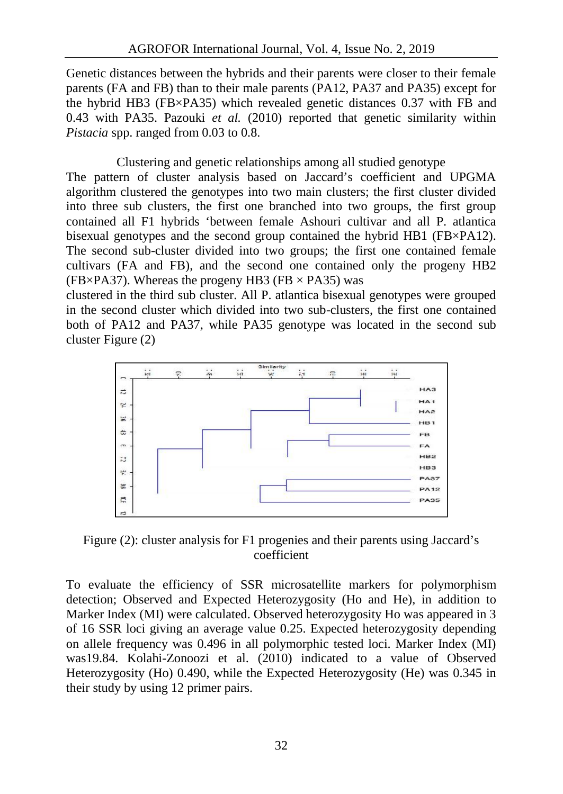Genetic distances between the hybrids and their parents were closer to their female parents (FA and FB) than to their male parents (PA12, PA37 and PA35) except for the hybrid HB3 (FB×PA35) which revealed genetic distances 0.37 with FB and 0.43 with PA35. Pazouki *et al.* (2010) reported that genetic similarity within *Pistacia* spp. ranged from 0.03 to 0.8.

Clustering and genetic relationships among all studied genotype The pattern of cluster analysis based on Jaccard's coefficient and UPGMA algorithm clustered the genotypes into two main clusters; the first cluster divided into three sub clusters, the first one branched into two groups, the first group contained all F1 hybrids 'between female Ashouri cultivar and all P. atlantica bisexual genotypes and the second group contained the hybrid HB1 (FB×PA12). The second sub-cluster divided into two groups; the first one contained female cultivars (FA and FB), and the second one contained only the progeny HB2 (FB $\times$ PA37). Whereas the progeny HB3 (FB  $\times$  PA35) was

clustered in the third sub cluster. All P. atlantica bisexual genotypes were grouped in the second cluster which divided into two sub-clusters, the first one contained both of PA12 and PA37, while PA35 genotype was located in the second sub cluster Figure (2)



Figure (2): cluster analysis for F1 progenies and their parents using Jaccard's coefficient

To evaluate the efficiency of SSR microsatellite markers for polymorphism detection; Observed and Expected Heterozygosity (Ho and He), in addition to Marker Index (MI) were calculated. Observed heterozygosity Ho was appeared in 3 of 16 SSR loci giving an average value 0.25. Expected heterozygosity depending on allele frequency was 0.496 in all polymorphic tested loci. Marker Index (MI) was19.84. Kolahi-Zonoozi et al. (2010) indicated to a value of Observed Heterozygosity (Ho) 0.490, while the Expected Heterozygosity (He) was 0.345 in their study by using 12 primer pairs.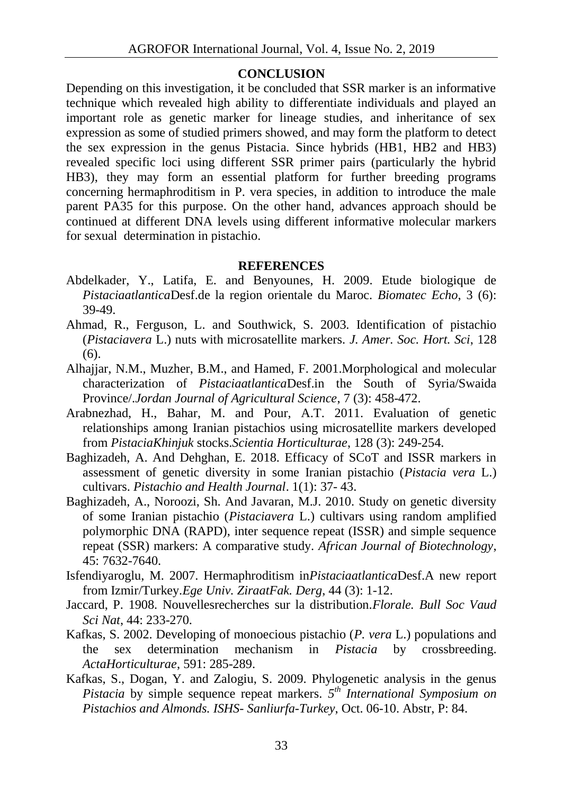#### **CONCLUSION**

Depending on this investigation, it be concluded that SSR marker is an informative technique which revealed high ability to differentiate individuals and played an important role as genetic marker for lineage studies, and inheritance of sex expression as some of studied primers showed, and may form the platform to detect the sex expression in the genus Pistacia. Since hybrids (HB1, HB2 and HB3) revealed specific loci using different SSR primer pairs (particularly the hybrid HB3), they may form an essential platform for further breeding programs concerning hermaphroditism in P. vera species, in addition to introduce the male parent PA35 for this purpose. On the other hand, advances approach should be continued at different DNA levels using different informative molecular markers for sexual determination in pistachio.

#### **REFERENCES**

- Abdelkader, Y., Latifa, E. and Benyounes, H. 2009. Etude biologique de *Pistaciaatlantica*Desf.de la region orientale du Maroc. *Biomatec Echo*, 3 (6): 39-49.
- Ahmad, R., Ferguson, L. and Southwick, S. 2003. Identification of pistachio (*Pistaciavera* L.) nuts with microsatellite markers. *J. Amer. Soc. Hort. Sci*, 128 (6).
- Alhajjar, N.M., Muzher, B.M., and Hamed, F. 2001.Morphological and molecular characterization of *Pistaciaatlantica*Desf.in the South of Syria/Swaida Province/.*Jordan Journal of Agricultural Science*, 7 (3): 458-472.
- Arabnezhad, H., Bahar, M. and Pour, A.T. 2011. Evaluation of genetic relationships among Iranian pistachios using microsatellite markers developed from *PistaciaKhinjuk* stocks.*Scientia Horticulturae*, 128 (3): 249-254.
- Baghizadeh, A. And Dehghan, E. 2018. Efficacy of SCoT and ISSR markers in assessment of genetic diversity in some Iranian pistachio (*Pistacia vera* L.) cultivars. *Pistachio and Health Journal*. 1(1): 37- 43.
- Baghizadeh, A., Noroozi, Sh. And Javaran, M.J. 2010. Study on genetic diversity of some Iranian pistachio (*Pistaciavera* L.) cultivars using random amplified polymorphic DNA (RAPD), inter sequence repeat (ISSR) and simple sequence repeat (SSR) markers: A comparative study. *African Journal of Biotechnology*, 45: 7632-7640.
- Isfendiyaroglu, M. 2007. Hermaphroditism in*Pistaciaatlantica*Desf.A new report from Izmir/Turkey.*Ege Univ. ZiraatFak. Derg*, 44 (3): 1-12.
- Jaccard, P. 1908. Nouvellesrecherches sur la distribution.*Florale. Bull Soc Vaud Sci Nat*, 44: 233-270.
- Kafkas, S. 2002. Developing of monoecious pistachio (*P. vera* L.) populations and the sex determination mechanism in *Pistacia* by crossbreeding. *ActaHorticulturae*, 591: 285-289.
- Kafkas, S., Dogan, Y. and Zalogiu, S. 2009. Phylogenetic analysis in the genus *Pistacia* by simple sequence repeat markers. *5 th International Symposium on Pistachios and Almonds. ISHS- Sanliurfa-Turkey*, Oct. 06-10. Abstr, P: 84.